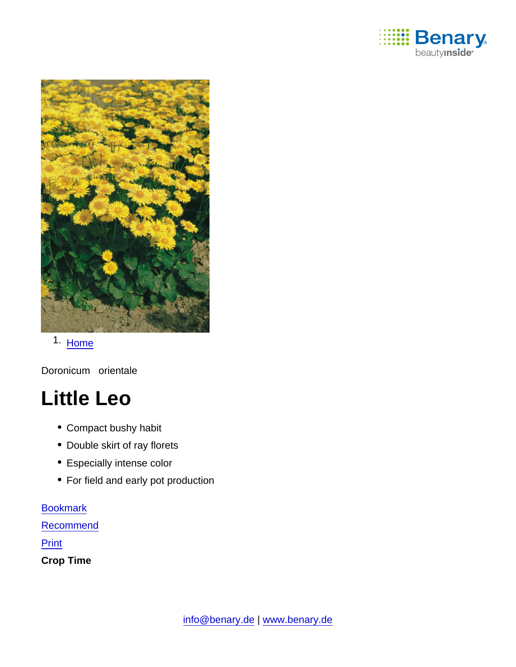

1. [Home](https://www.benary.com/)

Doronicum orientale

# Little Leo

- Compact bushy habit
- Double skirt of ray florets
- Especially intense color
- For field and early pot production

**[Bookmark](https://www.benary.com/flag/flag/product/5876?destination&token=dHvbA8YUsop7_MzN02c9SRvCQE8Bv9UQKOFtw1kKi_o)** 

**[Recommend](mailto:?subject=Benary Doronicum orientale &body=https://www.benary.com/print/pdf/node/5876)** 

Print

Crop Time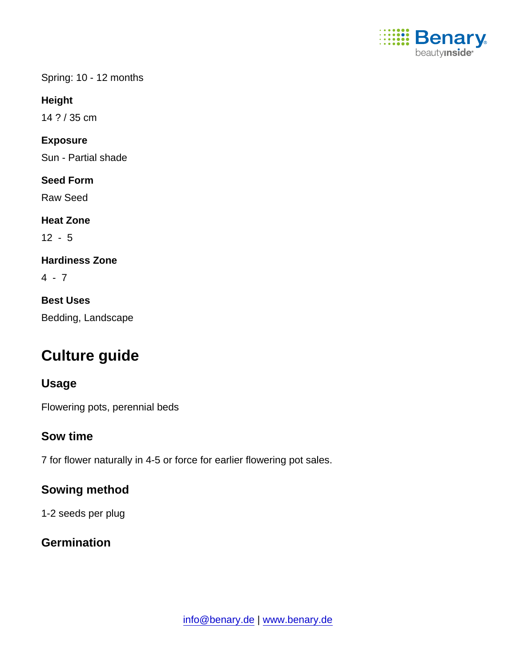

Spring: 10 - 12 months

Height

14 ? / 35 cm

Exposure

Sun - Partial shade

Seed Form

Raw Seed

Heat Zone

12 - 5

Hardiness Zone

 $4 - 7$ 

Best Uses Bedding, Landscape

# Culture guide

# Usage

Flowering pots, perennial beds

# Sow time

7 for flower naturally in 4-5 or force for earlier flowering pot sales.

Sowing method

1-2 seeds per plug

**Germination**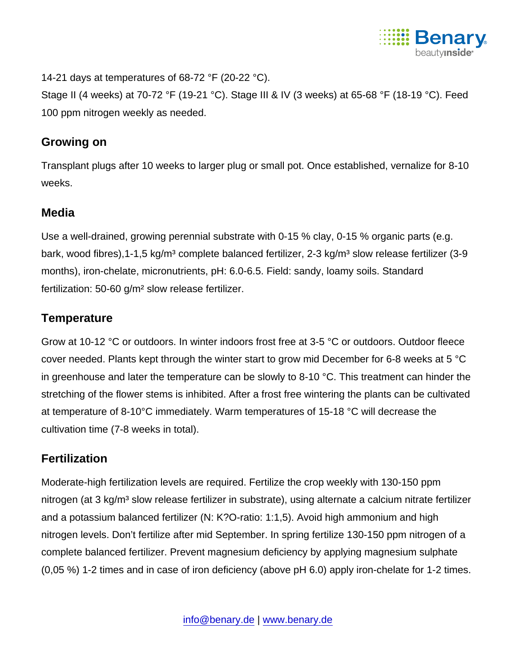

14-21 days at temperatures of 68-72  $\degree$ F (20-22  $\degree$ C).

Stage II (4 weeks) at 70-72 °F (19-21 °C). Stage III & IV (3 weeks) at 65-68 °F (18-19 °C). Feed 100 ppm nitrogen weekly as needed.

#### Growing on

Transplant plugs after 10 weeks to larger plug or small pot. Once established, vernalize for 8-10 weeks.

# Media

Use a well-drained, growing perennial substrate with 0-15 % clay, 0-15 % organic parts (e.g. bark, wood fibres), 1-1, 5 kg/m<sup>3</sup> complete balanced fertilizer, 2-3 kg/m<sup>3</sup> slow release fertilizer (3-9 months), iron-chelate, micronutrients, pH: 6.0-6.5. Field: sandy, loamy soils. Standard fertilization: 50-60 g/m² slow release fertilizer.

# **Temperature**

Grow at 10-12 °C or outdoors. In winter indoors frost free at 3-5 °C or outdoors. Outdoor fleece cover needed. Plants kept through the winter start to grow mid December for 6-8 weeks at 5 °C in greenhouse and later the temperature can be slowly to 8-10 °C. This treatment can hinder the stretching of the flower stems is inhibited. After a frost free wintering the plants can be cultivated at temperature of 8-10°C immediately. Warm temperatures of 15-18 °C will decrease the cultivation time (7-8 weeks in total).

# **Fertilization**

Moderate-high fertilization levels are required. Fertilize the crop weekly with 130-150 ppm nitrogen (at 3 kg/m<sup>3</sup> slow release fertilizer in substrate), using alternate a calcium nitrate fertilizer and a potassium balanced fertilizer (N: K?O-ratio: 1:1,5). Avoid high ammonium and high nitrogen levels. Don't fertilize after mid September. In spring fertilize 130-150 ppm nitrogen of a complete balanced fertilizer. Prevent magnesium deficiency by applying magnesium sulphate (0,05 %) 1-2 times and in case of iron deficiency (above pH 6.0) apply iron-chelate for 1-2 times.